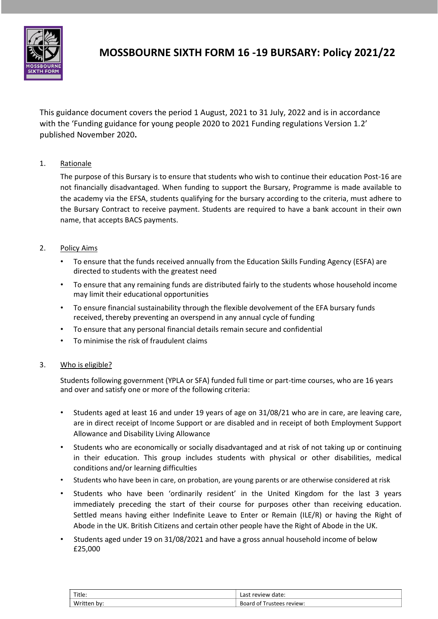

# **MOSSBOURNE SIXTH FORM 16 -19 BURSARY: Policy 2021/22**

This guidance document covers the period 1 August, 2021 to 31 July, 2022 and is in accordance with the 'Funding guidance for young people 2020 to 2021 Funding regulations Version 1.2' published November 2020**.**

# 1. Rationale

The purpose of this Bursary is to ensure that students who wish to continue their education Post-16 are not financially disadvantaged. When funding to support the Bursary, Programme is made available to the academy via the EFSA, students qualifying for the bursary according to the criteria, must adhere to the Bursary Contract to receive payment. Students are required to have a bank account in their own name, that accepts BACS payments.

## 2. Policy Aims

- To ensure that the funds received annually from the Education Skills Funding Agency (ESFA) are directed to students with the greatest need
- To ensure that any remaining funds are distributed fairly to the students whose household income may limit their educational opportunities
- To ensure financial sustainability through the flexible devolvement of the EFA bursary funds received, thereby preventing an overspend in any annual cycle of funding
- To ensure that any personal financial details remain secure and confidential
- To minimise the risk of fraudulent claims

## 3. Who is eligible?

Students following government (YPLA or SFA) funded full time or part-time courses, who are 16 years and over and satisfy one or more of the following criteria:

- Students aged at least 16 and under 19 years of age on 31/08/21 who are in care, are leaving care, are in direct receipt of Income Support or are disabled and in receipt of both Employment Support Allowance and Disability Living Allowance
- Students who are economically or socially disadvantaged and at risk of not taking up or continuing in their education. This group includes students with physical or other disabilities, medical conditions and/or learning difficulties
- Students who have been in care, on probation, are young parents or are otherwise considered at risk
- Students who have been 'ordinarily resident' in the United Kingdom for the last 3 years immediately preceding the start of their course for purposes other than receiving education. Settled means having either Indefinite Leave to Enter or Remain (ILE/R) or having the Right of Abode in the UK. British Citizens and certain other people have the Right of Abode in the UK.
- Students aged under 19 on 31/08/2021 and have a gross annual household income of below £25,000

| Title.         | Last review date:                 |
|----------------|-----------------------------------|
| Writ<br>en pv: | Board<br>. ot<br>Trustees review: |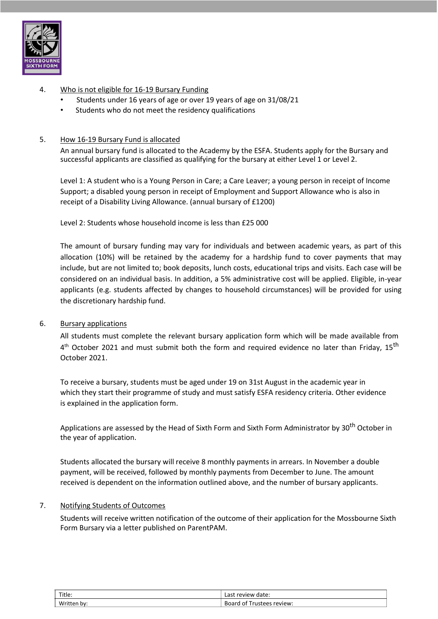

## 4. Who is not eligible for 16-19 Bursary Funding

- Students under 16 years of age or over 19 years of age on 31/08/21
- Students who do not meet the residency qualifications

#### 5. How 16-19 Bursary Fund is allocated

An annual bursary fund is allocated to the Academy by the ESFA. Students apply for the Bursary and successful applicants are classified as qualifying for the bursary at either Level 1 or Level 2.

Level 1: A student who is a Young Person in Care; a Care Leaver; a young person in receipt of Income Support; a disabled young person in receipt of Employment and Support Allowance who is also in receipt of a Disability Living Allowance. (annual bursary of £1200)

Level 2: Students whose household income is less than £25 000

The amount of bursary funding may vary for individuals and between academic years, as part of this allocation (10%) will be retained by the academy for a hardship fund to cover payments that may include, but are not limited to; book deposits, lunch costs, educational trips and visits. Each case will be considered on an individual basis. In addition, a 5% administrative cost will be applied. Eligible, in-year applicants (e.g. students affected by changes to household circumstances) will be provided for using the discretionary hardship fund.

#### 6. Bursary applications

All students must complete the relevant bursary application form which will be made available from  $4^{\text{th}}$  October 2021 and must submit both the form and required evidence no later than Friday, 15<sup>th</sup> October 2021.

To receive a bursary, students must be aged under 19 on 31st August in the academic year in which they start their programme of study and must satisfy ESFA residency criteria. Other evidence is explained in the application form.

Applications are assessed by the Head of Sixth Form and Sixth Form Administrator by 30<sup>th</sup> October in the year of application.

Students allocated the bursary will receive 8 monthly payments in arrears. In November a double payment, will be received, followed by monthly payments from December to June. The amount received is dependent on the information outlined above, and the number of bursary applicants.

#### 7. Notifying Students of Outcomes

Students will receive written notification of the outcome of their application for the Mossbourne Sixth Form Bursary via a letter published on ParentPAM.

| Title.          | $\mathbf{r}$<br>date:<br>20111<br>ົີ∿ພ<br>∾∨⊩<br>Lasi. |
|-----------------|--------------------------------------------------------|
| $\lambda$<br>bv | review:<br>∴ BO <sup>orr</sup><br>ิก1<br>.             |